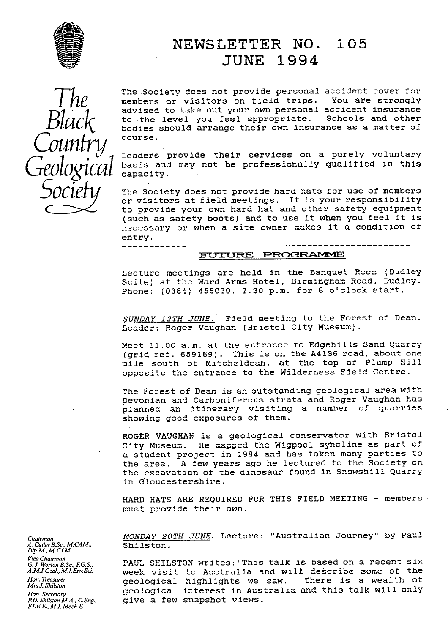

### NEWSLETTER **NO. 105** JUNE 1994

Country course.

 $T$  $\mathcal{H}$  are Society does not provide personal accident cover for  $T$  members or visitors on field trips. You are strongly The Society does not provide personal accident cover for **I I C** advised to take out your own personal accident insurance<br>
B COCK
to the level you feel appropriate. Schools and other bodies should arrange their own insurance as a matter of

> Leaders provide their services on a purely voluntary basis and may not be professionally qualified in this capacity.

The Society does not provide hard hats for use of members  $\mathcal{O}\text{C}\text{ICIV}$  The Society does not provide hard hats for use of members or visitors at field meetings. It is your responsibility to provide your own hard hat and other safety equipment (such as safety boots) and to use it when you feel it is necessary or when a site owner makes it a condition of entry.

# -------------------------<br>FUTURE PROGRAMME

Lecture meetings are held in the Banquet Room (Dudley Suite) at the Ward Arms Hotel, Birmingham Road, Dudley. Phone: (0384) 458070. 7.30 p.m. for 8 o'clock start.

SUNDAY 12TH JUNE. Field meeting to the Forest of Dean. Leader: Roger Vaughan (Bristol City Museum).

Meet 11.00 a.m. at the entrance to Edgehills Sand Quarry (grid ref. 659169). This is on the A4136 road, about one mile south of Mitcheldean, at the top of Plump Hill opposite the entrance to the Wilderness Field Centre.

The Forest of Dean is an outstanding geological area with Devonian and Carboniferous strata and Roger Vaughan has planned an itinerary visiting a number of quarries showing good exposures of them.

ROGER VAUGHAN is a geological conservator with Bristol City Museum. He mapped the Wigpool syhcline as part of a student project in 1984 and has taken many parties to the area. A few years ago he lectured to the Society on the excavation of the dinosaur found in Snowshill Quarry in Gloucestershire.

HARD HATS ARE REQUIRED FOR. THIS FIELD MEETING - members must provide their own.

*Chairman MONDAY 20TH JUNE.* Lecture: "Australian Journey" by Paul

*Vice Chairman*<br>*G.J.Worton B.Sc.,F.G.S.,* PAUL SHILSTON writes:"This talk is based on a recent six *A.M.I.Geol., M.I.Env.Sci.* The Sillisian Milcos. This care is selected the interesting one of the AM.I.Geol., M.I.Env.Sci. *Hannicial, Han. Treasurer* week visit to Australia and will describe some of the<br>*Hon. Treasurer* and geological highlights we saw. There is a wealth of *Hon. Secretary* geological interest in Australia and this talk will only give a few snapshot views.

*A. Cutler B.Sc., M.CAM.*, *Dip.M., MCIM. Mrs J. Shilston El E.E., M.I. Mech.E.*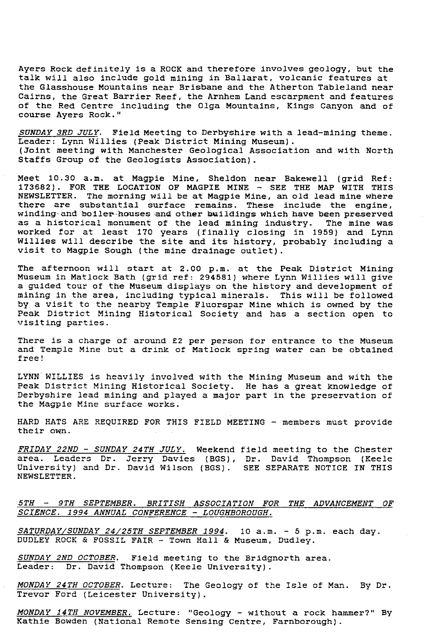Ayers Rock definitely is a ROCK and therefore involves geology, but the talk will also include gold mining in Ballarat, volcanic features at the Glasshouse Mountains near Brisbane and the Atherton Tableland near Cairns, the Great Barrier Reef, the Arnhem Land escarpment and features of the Red Centre including the Olga Mountains, Kings Canyon and of course Ayers Rock."

*SUNDAY 3RD JULY.* Field Meeting to Derbyshire with a lead-mining theme. Leader: Lynn Willies (Peak District Mining Museum). (Joint meeting with Manchester Geological Association and with North Staffs Group of the Geologists Association).

Meet 10.30 a.m. at Magpie Mine, Sheldon near Bakewell (grid Ref: 173682). FOR THE LOCATION OF MAGPIE MINE - SEE THE MAP WITH THIS NEWSLETTER. The morning will be at Magpie Mine, an old lead mine where there are substantial surface remains. These include the engine, winding and boiler-houses and other buildings which have been preserved as a historical monument of the lead mining industry. The mine was worked for at least 170 years (finally closing in 1959) and Lynn Willies will describe the site and its history, probably including a visit to Magpie Sough (the mine drainage outlet).

The afternoon will start at 2.00 p.m. at the Peak District Mining Museum in Matlock Bath (grid ref: 294581) where Lynn Willies will give a guided tour of the Museum displays on the history and development of mining in the area, including typical minerals. This will be followed by a visit to the nearby Temple Fluorspar Mine which is owned by the Peak District Mining Historical Society and has a section open to visiting parties.

There is a charge of around £2 per person for entrance to the Museum and Temple Mine but a drink of Matlock spring water can be obtained free!

LYNN WILLIES is heavily involved with the Mining Museum and with the Peak District Mining Historical Society. He has a great knowledge of Derbyshire lead mining and played a major part in the preservation of the Magpie Mine surface works.

HARD HATS ARE REQUIRED FOR THIS FIELD MEETING - members must provide their own.

*FRIDAY 22ND - SUNDAY 24TH JULY.* Weekend field meeting to the Chester area. Leaders Dr. Jerry Davies (BGS), Dr. David Thompson (Keele University) and Dr. David Wilson (BGS). SEE SEPARATE NOTICE IN THIS NEWSLETTER.

#### *5TH -- 9TH SEPTEMBER. BRITISH ASSOCIATION FOR THE ADVANCEMENT OF SCIENCE. 1994 ANNUAL CONFERENCE - LOUGHBOROUGH.*

*SATURDAYJSUNDAY 24125TH SEPTEMBER 1994 . 10 a.m. - 5 p.m. each day.* DUDLEY ROCK & FOSSIL FAIR - Town Hall & Museum, Dudley.

SUNDAY 2ND OCTOBER. Field meeting to the Bridgnorth area. Leader: Dr. David Thompson (Keele University).

*MONDAY 24TH OCTOBER.* Lecture: The Geology of the Isle of Man. By Dr. Trevor Ford (Leicester University).

*MONDAY 14TH NOVEMBER.* Lecture: "Geology - without a rock hammer?" By Kathie Bowden (National Remote Sensing Centre, Farnborough).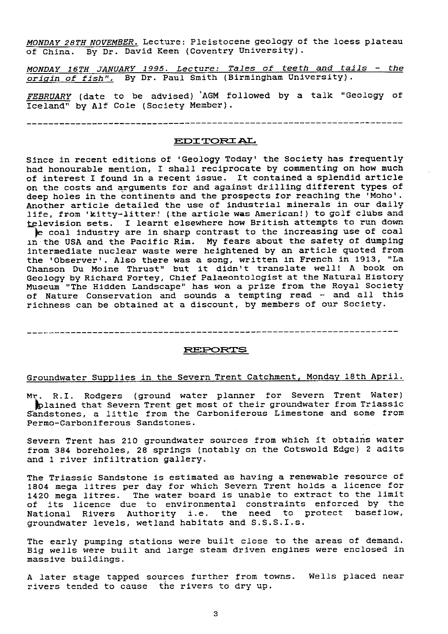MONDAY 28TH NOVEMBER. Lecture: Pleistocene geology of the loess plateau of China. By Dr. David Keen (Coventry University). By Dr. David Keen (Coventry University).

*MONDAY 16TH JANUARY 1995.* Lecture: *Tales of teeth* and tails - *the* origin of fish". By Dr. Paul Smith (Birmingham University).

FEBRUARY (date to be advised) AGM followed by a talk "Geology of Iceland" by Alf Cole (Society Member).

EDITORIAL

Since in recent editions of 'Geology Today' the Society has frequently had honourable mention, I shall reciprocate by commenting on how much of interest I found in a recent issue. It contained a splendid article on the costs and arguments for and against drilling different types of deep holes in the continents and the prospects for reaching the 'Moho'. Another article detailed the use of industrial minerals in our daily life, from 'kitty-litter.! (the article was American!) to golf clubs and television sets. I learnt elsewhere how British attempts to run down e coal industry are in sharp contrast to the increasing use of coal in the USA and the Pacific Rim. My fears about the safety of dumping intermediate nuclear waste were heightened by an article quoted from the 'Observer'. Also there was a song, written in French in 1913, "La Chanson Du Moine Thrust" but it didn't translate well'. A book on Geology by Richard Fortey, Chief Palaeontologist at the Natural History Museum "The Hidden Landscape" has won a prize from the Royal Society

of Nature Conservation and sounds a tempting read - and all this richness can be obtained at a discount, by members of our Society.

#### REPORTS

#### Groundwater Supplies in the Severn Trent Catchment, Monday 18th April.

Mr. R.I. Rodgers (ground water planner for Severn Trent Water) ^plained that Severn Trent get most of their groundwater from Triassic Sandstones, a little from the Carboniferous Limestone and some from Permo-Carboniferous Sandstones.

Severn Trent has 210 groundwater sources from which it obtains water from 384 boreholes, 28 springs (notably on the Cotswold Edge) 2 adits and 1 river infiltration gallery.

The Triassic Sandstone is estimated as having a renewable resource of ine filassic bandstone is estimated as having a renowners recent of 1420 mega litres. The water board is unable to extract to the limit of its licence due to environmental constraints enforced by the National Rivers Authority i.e. the need to protect baseflow, groundwater levels, wetland habitats and S.S.S.I.s.

The early pumping stations were built close to the areas of demand. Big wells were built and large steam driven engines were enclosed in massive buildings.

A later stage tapped sources further from towns. Wells placed near rivers tended to cause the rivers to dry up.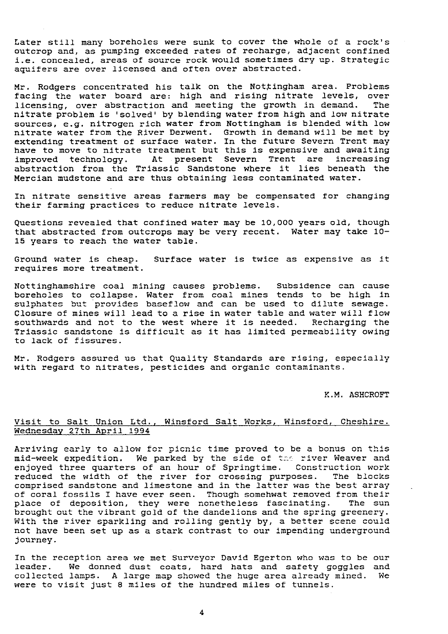Later still many boreholes were sunk to cover the whole of a rock's outcrop and, as pumping exceeded rates of recharge, adjacent confined i.e. concealed, areas of source rock would sometimes dry up. Strategic aquifers are over licensed and often over abstracted.

Mr. Rodgers concentrated his talk on the Nottingham area. Problems facing the water board are: high and rising nitrate levels, over<br>licensing, over abstraction and meeting the growth in demand. The licensing, over abstraction and meeting the growth in demand. nitrate problem is 'solved' by blending water from high and low nitrate sources, e.g. nitrogen rich water from Nottingham is blended with low nitrate water from the River Derwent. Growth in demand will be met by extending treatment of surface water. In the future Severn Trent may have to move to nitrate treatment but this is expensive and awaiting improved technology. At present Severn Trent are increasing abstraction from the Triassic Sandstone where it lies beneath the Mercian mudstone and are thus obtaining less contaminated water.

In nitrate sensitive areas farmers may be compensated for changing their farming practices to reduce nitrate levels.

Questions revealed that confined water may be 10,000 years old, though that abstracted from outcrops may be very recent. Water may take 10- 15 years to reach the water table.

Ground water is cheap. Surface water is twice as expensive as it requires more treatment.

Nottinghamshire coal mining causes problems. Subsidence can cause boreholes to collapse. Water from coal mines tends to be high in sulphates but provides baseflow and can be used to dilute sewage. Closure of mines will lead to a rise in water table and water will flow southwards and not to the west where it is needed. Recharging the Triassic sandstone is difficult as it has limited permeability owing to lack of fissures.

Mr. Rodgers assured us that Quality Standards are rising, especially with regard to nitrates, pesticides and organic contaminants.

K.M. ASHCROFT

#### Visit to Salt Union Ltd., Winsford Salt Works, Winsford, Cheshire. Wednesday 27th April 1994

Arriving early to allow for picnic time proved to be a bonus on this mid-week expedition. We parked by the side of the river Weaver and enjoyed three quarters of an hour of Springtime. Construction work reduced the width of the river for crossing purposes. The blocks comprised sandstone and limestone and in the latter was the best array of coral fossils I have ever seen. Though somehwat removed from their place of deposition, they were nonetheless fascinating. The sun brought out the vibrant gold of the dandelions and the spring greenery. With the river sparkling and rolling gently by, a better scene could not have been set up as a stark contrast to our impending underground journey.

In the reception area we met Surveyor David Egerton who was to be our leader. We donned dust coats, hard hats and safety goggles and collected lamps. A large map showed the huge area already mined. We were to visit just 8 miles of the hundred miles of tunnels.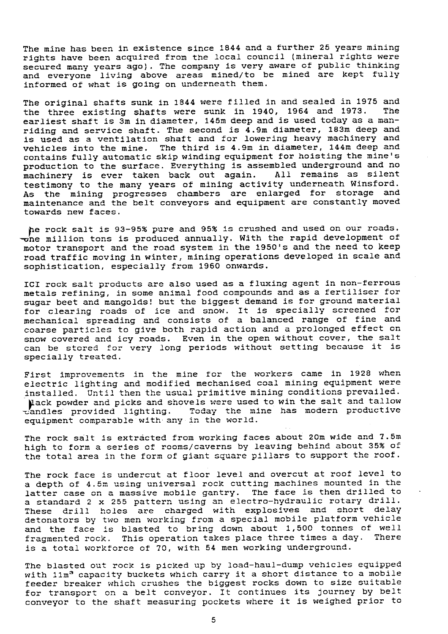The mine has been in existence since 1844 and a further 25 years mining rights have been acquired from the local council (mineral rights were secured many years ago). The company is very aware of public thinking and everyone living above areas mined/to be mined are kept fully informed of what is going on underneath them.

The original shafts sunk in 1844 were filled in and sealed in 1975 and<br>the three existing shafts were sunk in 1940. 1964 and 1973. The the three existing shafts were sunk in 1940, 1964 and 1973. earliest shaft is 3m in diameter, 145m deep and is used today as a manriding and service shaft. The second is  $4.9$ m diameter, 183m deep and is used as a ventilation shaft and for lowering heavy machinery and vehicles into the mine. The third is 4.9m in diameter, 144m deep and contains fully automatic skip winding equipment for hoisting the mine's production to the surface. Everything is assembled underground and no<br>machinery is ever taken back out again. All remains as silent machinery is ever taken back out again. testimony to the many years of mining activity underneath Winsford. As the mining progresses chambers are enlarged for storage and maintenance and the belt conveyors and equipment are constantly moved towards new faces.

he rock salt is 93-95% pure and 95% is crushed and used on our roads.  $\frac{1}{2}$  one million tons is produced annually. With the rapid development of motor transport and the road system in the 1950's and the need to keep road traffic moving in winter, mining operations developed in scale and sophistication, especially from 1960 onwards.

ICI rock salt products are also used as a fluxing agent in non-ferrous metals refining, in some animal food compounds and as a fertiliser for sugar beet and mangolds! but the biggest demand is for ground material for clearing roads of ice and snow. It is specially screened for mechanical spreading and consists of a balanced range of fine and coarse particles to give both rapid action and a prolonged effect on snow covered and icy roads. Even in the open without cover, the salt can be stored for very long periods without setting because it is specially treated.

First improvements in the mine for the workers came in 1928 when electric lighting and modified mechanised coal mining equipment were installed. Until then the usual primitive mining conditions prevailed.  $\tau$ andles provided lighting. lack powder and picks and shovels were used to win the salt and tallow Today the mine has modern productive equipment comparable with any in the world.

The rock salt is extracted from working faces about 20m wide and 7.5m high to form a series of rooms/caverns by leaving behind about 35% of the total area in the form of giant square pillars to support the roof.

The rock face is undercut at floor level and overcut at roof level to a depth of 4.5m using universal rock cutting machines mounted in the latter case on a massive mobile gantry. The face is then drilled to a standard 2 x 255 pattern using an electro-hydraulic rotary drill. These drill holes are charged with explosives and short delay detonators by two men working from a special mobile platform vehicl and the face is blasted to bring down about 1,500 tonnes of well fragmented rock. This operation takes place three times a day. There is a total workforce of 70, with 54 men working underground.

The blasted out rock is picked up by load-haul-dump vehicles equipped with 11m<sup>3</sup> capacity buckets which carry it a short distance to a mobile feeder breaker which crushes the biggest rocks down to size suitable for transport on a belt conveyor. It continues its journey by belt conveyor to the shaft measuring pockets where it is weighed prior to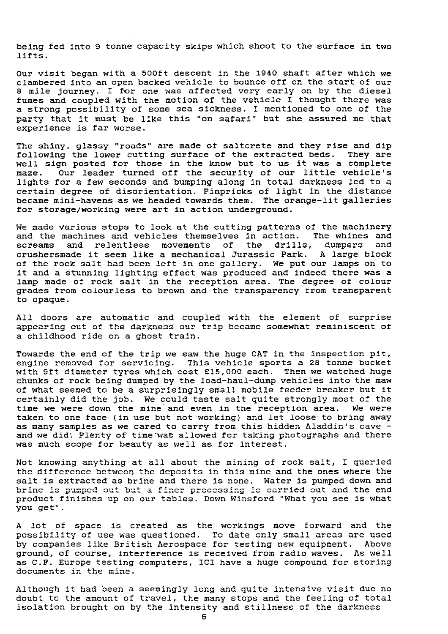being fed into 9 tonne capacity skips which shoot to the surface *in two* lifts.

Our visit began with a 500ft descent in the 1940 shaft after which we clambered into an open backed vehicle to bounce off on the start of our 8 mile journey. I for one was affected very early on by the diesel fumes and coupled with the motion of the vehicle I thought there was a strong possibility of some sea sickness. I mentioned to one of the party that it must be like this "on safari" but she assured me that experience is far worse.

The shiny, glassy "roads" are made of saltcrete and they rise and dip<br>following the lower cutting surface of the extracted beds. They are following the lower cutting surface of the extracted beds. well sign posted for those in the know but to us it was a complete maze. Our leader turned off the security of our little vehicle's lights for a few seconds and *bumping* along in total darkness led to a certain degree of disorientation. Pinpricks of light in the distance became mini-havens as we headed towards them. The orange-lit galleries for storage/working were art *in* action underground.

We made various stops to look at the cutting patterns of the machinery<br>and the machines and vehicles themselves in action. The whines and and the machines and vehicles themselves in action. The whines and screams and relentless movements of the drills, dumpers and and relentless movements of the drills, dumpers crushersmade it seem like a mechanical Jurassic Park. A large block of the rock salt had been left in one gallery. We put our lamps on to it and a stunning lighting effect was produced and indeed there was a lamp made of rock salt in the reception area. The degree of colour grades from colourless to brown and the transparency from transparent to opaque.

All doors are automatic and coupled with the element of surprise appearing out of the darkness our trip became somewhat reminiscent of a childhood ride on a ghost train.

Towards the end of the trip we saw the huge CAT in the inspection pit, engine removed for servicing. This vehicle sports a 28 tonne bucket with 9ft diameter tyres which cost £15,000 each. Then we watched huge chunks of rock being dumped by the load-haul-dump vehicles into the maw of what seemed to be a surprisingly small mobile feeder breaker but it certainly did the job. We could taste salt quite strongly most of the time we were down the mine and even in the reception area. We were time we were down the mine and even in the reception area. taken to one face (in use but not working) and let loose to bring away as many samples as we cared to carry from this hidden Aladdin's cave and we did. Plenty of time was allowed for taking photographs and there was much scope for beauty as well as for interest.

Not knowing anything at all about the mining of rock salt, I queried the difference between the deposits in this mine and the ones where the salt is extracted as brine and there is none. Water is pumped down and brine is pumped out but a finer processing is carried out *and* the end product finishes up on our tables. Down Winsford "What you see is what you get".

A lot of space is created as the workings move forward and the possibility of use was questioned. To date *only* small areas are used by companies like British Aerospace for testing new equipment. ground, of course, interference is received from radio waves. As well as C.F. Europe testing computers, ICI have a huge compound for storing documents in the mine.

Although it had been a seemingly long and quite intensive visit due no doubt to the amount of travel, the many stops and the feeling of total isolation brought on by the intensity and stillness of the darkness